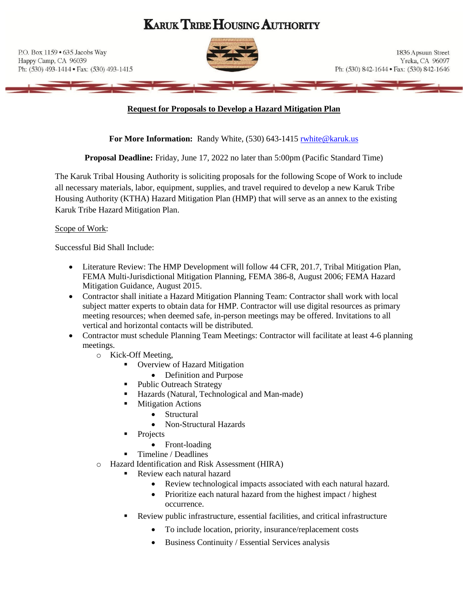# **KARUK TRIBE HOUSING AUTHORITY**

P.O. Box 1159 . 635 Jacobs Way Happy Camp, CA 96039 Ph: (530) 493-1414 • Fax: (530) 493-1415



1836 Apsuun Street Yreka, CA 96097 Ph: (530) 842-1644 · Fax: (530) 842-1646

#### **Request for Proposals to Develop a Hazard Mitigation Plan**

For More Information: Randy White, (530) 643-1415 rubite@karuk.us

**Proposal Deadline:** Friday, June 17, 2022 no later than 5:00pm (Pacific Standard Time)

The Karuk Tribal Housing Authority is soliciting proposals for the following Scope of Work to include all necessary materials, labor, equipment, supplies, and travel required to develop a new Karuk Tribe Housing Authority (KTHA) Hazard Mitigation Plan (HMP) that will serve as an annex to the existing Karuk Tribe Hazard Mitigation Plan.

#### Scope of Work:

Successful Bid Shall Include:

- Literature Review: The HMP Development will follow 44 CFR, 201.7, Tribal Mitigation Plan, FEMA Multi-Jurisdictional Mitigation Planning, FEMA 386-8, August 2006; FEMA Hazard Mitigation Guidance, August 2015.
- Contractor shall initiate a Hazard Mitigation Planning Team: Contractor shall work with local subject matter experts to obtain data for HMP. Contractor will use digital resources as primary meeting resources; when deemed safe, in-person meetings may be offered. Invitations to all vertical and horizontal contacts will be distributed.
- Contractor must schedule Planning Team Meetings: Contractor will facilitate at least 4-6 planning meetings.
	- o Kick-Off Meeting,
		- Overview of Hazard Mitigation
			- Definition and Purpose
		- Public Outreach Strategy
		- Hazards (Natural, Technological and Man-made)
		- **Mitigation Actions** 
			- Structural
			- Non-Structural Hazards
		- Projects
			- Front-loading
		- Timeline / Deadlines
	- o Hazard Identification and Risk Assessment (HIRA)
		- Review each natural hazard
			- Review technological impacts associated with each natural hazard.
			- Prioritize each natural hazard from the highest impact / highest occurrence.
		- Review public infrastructure, essential facilities, and critical infrastructure
			- To include location, priority, insurance/replacement costs
			- Business Continuity / Essential Services analysis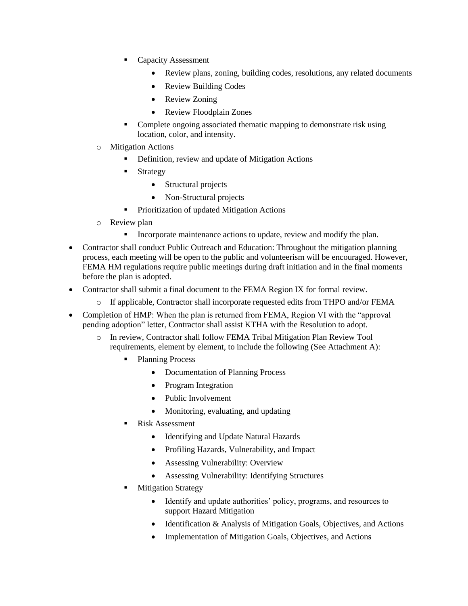- **Capacity Assessment** 
	- Review plans, zoning, building codes, resolutions, any related documents
	- Review Building Codes
	- Review Zoning
	- Review Floodplain Zones
- Complete ongoing associated thematic mapping to demonstrate risk using location, color, and intensity.
- o Mitigation Actions
	- Definition, review and update of Mitigation Actions
	- **Strategy** 
		- Structural projects
		- Non-Structural projects
	- **•** Prioritization of updated Mitigation Actions
- o Review plan
	- **•** Incorporate maintenance actions to update, review and modify the plan.
- Contractor shall conduct Public Outreach and Education: Throughout the mitigation planning process, each meeting will be open to the public and volunteerism will be encouraged. However, FEMA HM regulations require public meetings during draft initiation and in the final moments before the plan is adopted.
- Contractor shall submit a final document to the FEMA Region IX for formal review.
	- o If applicable, Contractor shall incorporate requested edits from THPO and/or FEMA
- Completion of HMP: When the plan is returned from FEMA, Region VI with the "approval" pending adoption" letter, Contractor shall assist KTHA with the Resolution to adopt.
	- o In review, Contractor shall follow FEMA Tribal Mitigation Plan Review Tool requirements, element by element, to include the following (See Attachment A):
		- Planning Process
			- Documentation of Planning Process
			- Program Integration
			- Public Involvement
			- Monitoring, evaluating, and updating
		- **Risk Assessment** 
			- Identifying and Update Natural Hazards
			- Profiling Hazards, Vulnerability, and Impact
			- Assessing Vulnerability: Overview
			- Assessing Vulnerability: Identifying Structures
		- **Mitigation Strategy** 
			- Identify and update authorities' policy, programs, and resources to support Hazard Mitigation
			- Identification & Analysis of Mitigation Goals, Objectives, and Actions
			- Implementation of Mitigation Goals, Objectives, and Actions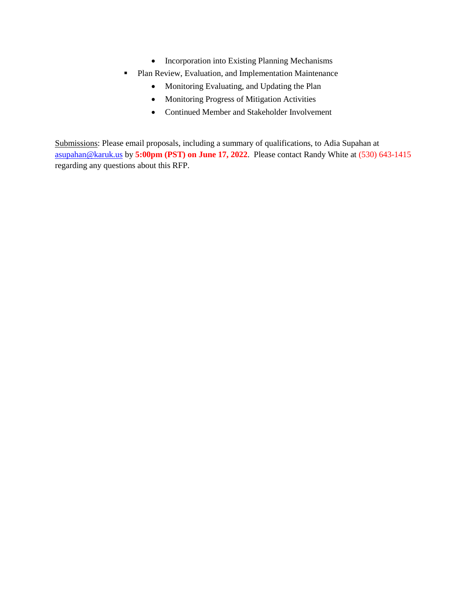- Incorporation into Existing Planning Mechanisms
- Plan Review, Evaluation, and Implementation Maintenance
	- Monitoring Evaluating, and Updating the Plan
	- Monitoring Progress of Mitigation Activities
	- Continued Member and Stakeholder Involvement

Submissions: Please email proposals, including a summary of qualifications, to Adia Supahan at [asupahan@karuk.us](mailto:asupahan@karuk.us) by **5:00pm (PST) on June 17, 2022**. Please contact Randy White at (530) 643-1415 regarding any questions about this RFP.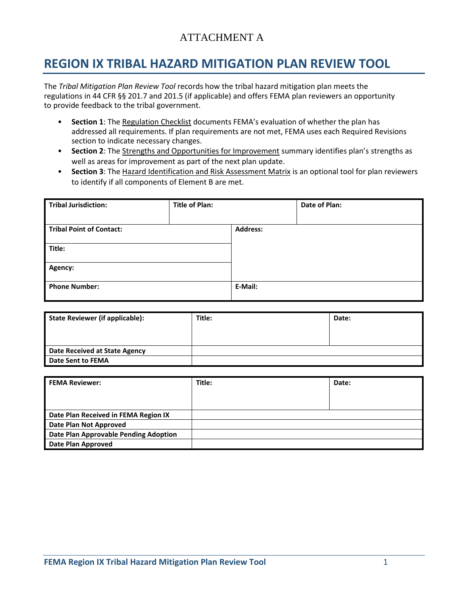# ATTACHMENT A

# **REGION IX TRIBAL HAZARD MITIGATION PLAN REVIEW TOOL**

The *Tribal Mitigation Plan Review Tool* records how the tribal hazard mitigation plan meets the regulations in 44 CFR §§ 201.7 and 201.5 (if applicable) and offers FEMA plan reviewers an opportunity to provide feedback to the tribal government.

- **Section 1**: The Regulation Checklist documents FEMA's evaluation of whether the plan has addressed all requirements. If plan requirements are not met, FEMA uses each Required Revisions section to indicate necessary changes.
- **Section 2**: The Strengths and Opportunities for Improvement summary identifies plan's strengths as well as areas for improvement as part of the next plan update.
- **Section 3**: The Hazard Identification and Risk Assessment Matrix is an optional tool for plan reviewers to identify if all components of Element B are met.

| <b>Tribal Jurisdiction:</b>     | <b>Title of Plan:</b> |                 | Date of Plan: |
|---------------------------------|-----------------------|-----------------|---------------|
|                                 |                       |                 |               |
| <b>Tribal Point of Contact:</b> |                       | <b>Address:</b> |               |
|                                 |                       |                 |               |
| Title:                          |                       |                 |               |
|                                 |                       |                 |               |
| Agency:                         |                       |                 |               |
|                                 |                       |                 |               |
| <b>Phone Number:</b>            |                       | E-Mail:         |               |
|                                 |                       |                 |               |

| <b>State Reviewer (if applicable):</b> | Title: | Date: |
|----------------------------------------|--------|-------|
|                                        |        |       |
| Date Received at State Agency          |        |       |
| Date Sent to FEMA                      |        |       |

| <b>FEMA Reviewer:</b>                 | Title: | Date: |
|---------------------------------------|--------|-------|
|                                       |        |       |
|                                       |        |       |
| Date Plan Received in FEMA Region IX  |        |       |
| Date Plan Not Approved                |        |       |
| Date Plan Approvable Pending Adoption |        |       |
| <b>Date Plan Approved</b>             |        |       |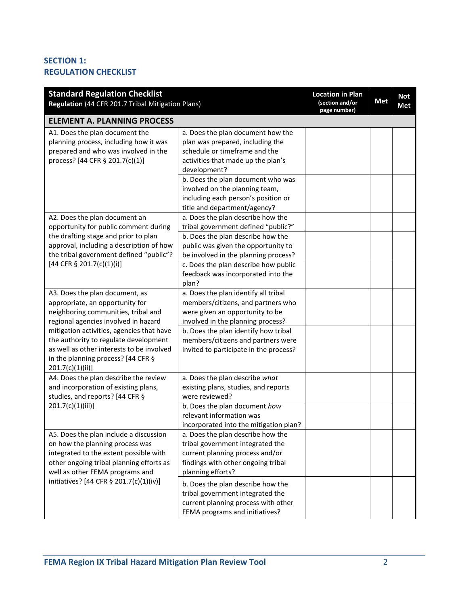# **SECTION 1: REGULATION CHECKLIST**

| <b>Standard Regulation Checklist</b><br>Regulation (44 CFR 201.7 Tribal Mitigation Plans)                                                                                                                                                                                                                                                    |                                                                                                                                                                                                                                                                                                            | <b>Location in Plan</b><br>(section and/or<br>page number) | <b>Met</b> | <b>Not</b><br><b>Met</b> |
|----------------------------------------------------------------------------------------------------------------------------------------------------------------------------------------------------------------------------------------------------------------------------------------------------------------------------------------------|------------------------------------------------------------------------------------------------------------------------------------------------------------------------------------------------------------------------------------------------------------------------------------------------------------|------------------------------------------------------------|------------|--------------------------|
| <b>ELEMENT A. PLANNING PROCESS</b>                                                                                                                                                                                                                                                                                                           |                                                                                                                                                                                                                                                                                                            |                                                            |            |                          |
| A1. Does the plan document the<br>planning process, including how it was<br>prepared and who was involved in the<br>process? [44 CFR § 201.7(c)(1)]                                                                                                                                                                                          | a. Does the plan document how the<br>plan was prepared, including the<br>schedule or timeframe and the<br>activities that made up the plan's<br>development?<br>b. Does the plan document who was<br>involved on the planning team,<br>including each person's position or<br>title and department/agency? |                                                            |            |                          |
| A2. Does the plan document an<br>opportunity for public comment during<br>the drafting stage and prior to plan                                                                                                                                                                                                                               | a. Does the plan describe how the<br>tribal government defined "public?"<br>b. Does the plan describe how the                                                                                                                                                                                              |                                                            |            |                          |
| approval, including a description of how<br>the tribal government defined "public"?<br>[44 CFR § 201.7(c)(1)(i)]                                                                                                                                                                                                                             | public was given the opportunity to<br>be involved in the planning process?<br>c. Does the plan describe how public<br>feedback was incorporated into the                                                                                                                                                  |                                                            |            |                          |
| A3. Does the plan document, as<br>appropriate, an opportunity for<br>neighboring communities, tribal and<br>regional agencies involved in hazard<br>mitigation activities, agencies that have<br>the authority to regulate development<br>as well as other interests to be involved<br>in the planning process? [44 CFR §<br>201.7(c)(1)(ii) | plan?<br>a. Does the plan identify all tribal<br>members/citizens, and partners who<br>were given an opportunity to be<br>involved in the planning process?<br>b. Does the plan identify how tribal<br>members/citizens and partners were<br>invited to participate in the process?                        |                                                            |            |                          |
| A4. Does the plan describe the review<br>and incorporation of existing plans,<br>studies, and reports? [44 CFR §                                                                                                                                                                                                                             | a. Does the plan describe what<br>existing plans, studies, and reports<br>were reviewed?                                                                                                                                                                                                                   |                                                            |            |                          |
| 201.7(c)(1)(iii)]                                                                                                                                                                                                                                                                                                                            | b. Does the plan document how<br>relevant information was<br>incorporated into the mitigation plan?                                                                                                                                                                                                        |                                                            |            |                          |
| A5. Does the plan include a discussion<br>on how the planning process was<br>integrated to the extent possible with<br>other ongoing tribal planning efforts as<br>well as other FEMA programs and                                                                                                                                           | a. Does the plan describe how the<br>tribal government integrated the<br>current planning process and/or<br>findings with other ongoing tribal<br>planning efforts?                                                                                                                                        |                                                            |            |                          |
| initiatives? [44 CFR § 201.7(c)(1)(iv)]                                                                                                                                                                                                                                                                                                      | b. Does the plan describe how the<br>tribal government integrated the<br>current planning process with other<br>FEMA programs and initiatives?                                                                                                                                                             |                                                            |            |                          |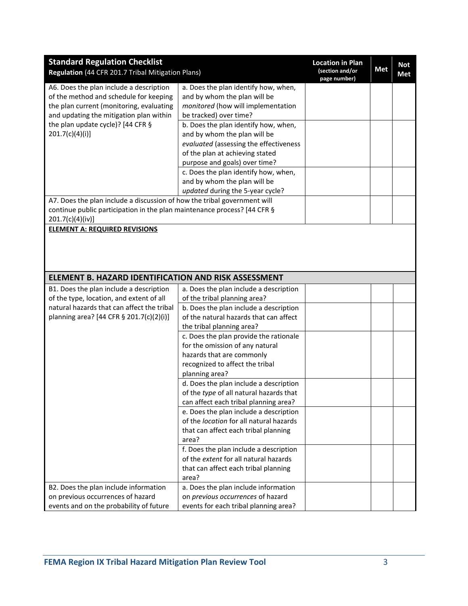| <b>Standard Regulation Checklist</b>                                     |                                         | <b>Location in Plan</b>         |            | <b>Not</b> |
|--------------------------------------------------------------------------|-----------------------------------------|---------------------------------|------------|------------|
| Regulation (44 CFR 201.7 Tribal Mitigation Plans)                        |                                         | (section and/or<br>page number) | <b>Met</b> | <b>Met</b> |
| A6. Does the plan include a description                                  | a. Does the plan identify how, when,    |                                 |            |            |
| of the method and schedule for keeping                                   | and by whom the plan will be            |                                 |            |            |
| the plan current (monitoring, evaluating                                 | monitored (how will implementation      |                                 |            |            |
| and updating the mitigation plan within                                  | be tracked) over time?                  |                                 |            |            |
| the plan update cycle)? [44 CFR §                                        | b. Does the plan identify how, when,    |                                 |            |            |
| 201.7(c)(4)(i)                                                           | and by whom the plan will be            |                                 |            |            |
|                                                                          | evaluated (assessing the effectiveness  |                                 |            |            |
|                                                                          | of the plan at achieving stated         |                                 |            |            |
|                                                                          | purpose and goals) over time?           |                                 |            |            |
|                                                                          | c. Does the plan identify how, when,    |                                 |            |            |
|                                                                          | and by whom the plan will be            |                                 |            |            |
|                                                                          | updated during the 5-year cycle?        |                                 |            |            |
| A7. Does the plan include a discussion of how the tribal government will |                                         |                                 |            |            |
| continue public participation in the plan maintenance process? [44 CFR § |                                         |                                 |            |            |
| 201.7(c)(4)(iv)]                                                         |                                         |                                 |            |            |
| <b>ELEMENT A: REQUIRED REVISIONS</b>                                     |                                         |                                 |            |            |
|                                                                          |                                         |                                 |            |            |
|                                                                          |                                         |                                 |            |            |
|                                                                          |                                         |                                 |            |            |
|                                                                          |                                         |                                 |            |            |
| ELEMENT B. HAZARD IDENTIFICATION AND RISK ASSESSMENT                     |                                         |                                 |            |            |
| B1. Does the plan include a description                                  | a. Does the plan include a description  |                                 |            |            |
| of the type, location, and extent of all                                 | of the tribal planning area?            |                                 |            |            |
| natural hazards that can affect the tribal                               | b. Does the plan include a description  |                                 |            |            |
| planning area? [44 CFR § 201.7(c)(2)(i)]                                 | of the natural hazards that can affect  |                                 |            |            |
|                                                                          | the tribal planning area?               |                                 |            |            |
|                                                                          | c. Does the plan provide the rationale  |                                 |            |            |
|                                                                          | for the omission of any natural         |                                 |            |            |
|                                                                          | hazards that are commonly               |                                 |            |            |
|                                                                          | recognized to affect the tribal         |                                 |            |            |
|                                                                          | planning area?                          |                                 |            |            |
|                                                                          | d. Does the plan include a description  |                                 |            |            |
|                                                                          | of the type of all natural hazards that |                                 |            |            |
|                                                                          | can affect each tribal planning area?   |                                 |            |            |
|                                                                          | e. Does the plan include a description  |                                 |            |            |
|                                                                          | of the location for all natural hazards |                                 |            |            |
|                                                                          | that can affect each tribal planning    |                                 |            |            |
|                                                                          | area?                                   |                                 |            |            |
|                                                                          | f. Does the plan include a description  |                                 |            |            |
|                                                                          | of the extent for all natural hazards   |                                 |            |            |
|                                                                          | that can affect each tribal planning    |                                 |            |            |
|                                                                          | area?                                   |                                 |            |            |
| B2. Does the plan include information                                    | a. Does the plan include information    |                                 |            |            |
| on previous occurrences of hazard                                        | on previous occurrences of hazard       |                                 |            |            |
| events and on the probability of future                                  | events for each tribal planning area?   |                                 |            |            |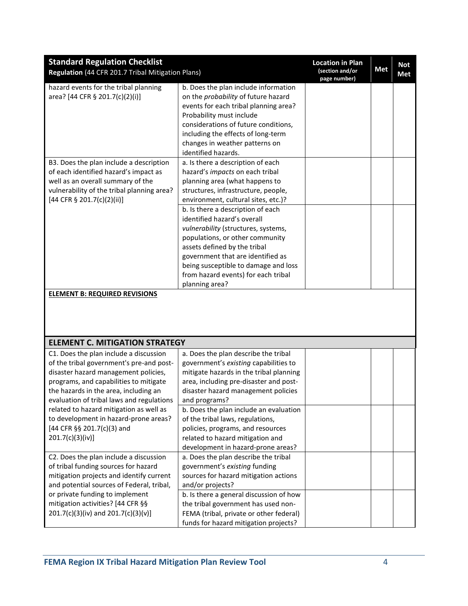| <b>Standard Regulation Checklist</b><br>Regulation (44 CFR 201.7 Tribal Mitigation Plans)                                                                                                                                                                  |                                                                                                                                                                                                                                                                                                                  | <b>Location in Plan</b><br>(section and/or<br>page number) | Met | <b>Not</b><br>Met |
|------------------------------------------------------------------------------------------------------------------------------------------------------------------------------------------------------------------------------------------------------------|------------------------------------------------------------------------------------------------------------------------------------------------------------------------------------------------------------------------------------------------------------------------------------------------------------------|------------------------------------------------------------|-----|-------------------|
| hazard events for the tribal planning<br>area? [44 CFR § 201.7(c)(2)(i)]                                                                                                                                                                                   | b. Does the plan include information<br>on the probability of future hazard<br>events for each tribal planning area?<br>Probability must include<br>considerations of future conditions,<br>including the effects of long-term<br>changes in weather patterns on                                                 |                                                            |     |                   |
| B3. Does the plan include a description<br>of each identified hazard's impact as<br>well as an overall summary of the<br>vulnerability of the tribal planning area?<br>[44 CFR § 201.7(c)(2)(ii)]                                                          | identified hazards.<br>a. Is there a description of each<br>hazard's impacts on each tribal<br>planning area (what happens to<br>structures, infrastructure, people,<br>environment, cultural sites, etc.)?                                                                                                      |                                                            |     |                   |
|                                                                                                                                                                                                                                                            | b. Is there a description of each<br>identified hazard's overall<br>vulnerability (structures, systems,<br>populations, or other community<br>assets defined by the tribal<br>government that are identified as<br>being susceptible to damage and loss<br>from hazard events) for each tribal<br>planning area? |                                                            |     |                   |
| <b>ELEMENT B: REQUIRED REVISIONS</b>                                                                                                                                                                                                                       |                                                                                                                                                                                                                                                                                                                  |                                                            |     |                   |
| <b>ELEMENT C. MITIGATION STRATEGY</b>                                                                                                                                                                                                                      |                                                                                                                                                                                                                                                                                                                  |                                                            |     |                   |
| C1. Does the plan include a discussion<br>of the tribal government's pre-and post-<br>disaster hazard management policies,<br>programs, and capabilities to mitigate<br>the hazards in the area, including an<br>evaluation of tribal laws and regulations | a. Does the plan describe the tribal<br>government's existing capabilities to<br>mitigate hazards in the tribal planning<br>area, including pre-disaster and post-<br>disaster hazard management policies<br>and programs?                                                                                       |                                                            |     |                   |
| related to hazard mitigation as well as<br>to development in hazard-prone areas?<br>[44 CFR §§ 201.7(c)(3) and<br>201.7(c)(3)(iv)]                                                                                                                         | b. Does the plan include an evaluation<br>of the tribal laws, regulations,<br>policies, programs, and resources<br>related to hazard mitigation and<br>development in hazard-prone areas?                                                                                                                        |                                                            |     |                   |
| C2. Does the plan include a discussion<br>of tribal funding sources for hazard<br>mitigation projects and identify current<br>and potential sources of Federal, tribal,                                                                                    | a. Does the plan describe the tribal<br>government's existing funding<br>sources for hazard mitigation actions<br>and/or projects?                                                                                                                                                                               |                                                            |     |                   |
| or private funding to implement<br>mitigation activities? [44 CFR §§<br>201.7(c)(3)(iv) and 201.7(c)(3)(v)]                                                                                                                                                | b. Is there a general discussion of how<br>the tribal government has used non-<br>FEMA (tribal, private or other federal)<br>funds for hazard mitigation projects?                                                                                                                                               |                                                            |     |                   |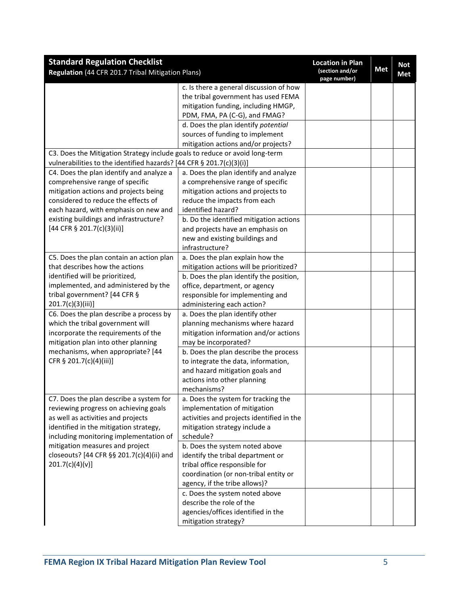| <b>Standard Regulation Checklist</b><br>Regulation (44 CFR 201.7 Tribal Mitigation Plans) |                                           | <b>Location in Plan</b><br>(section and/or | <b>Met</b> | <b>Not</b><br>Met |
|-------------------------------------------------------------------------------------------|-------------------------------------------|--------------------------------------------|------------|-------------------|
|                                                                                           |                                           | page number)                               |            |                   |
|                                                                                           | c. Is there a general discussion of how   |                                            |            |                   |
|                                                                                           | the tribal government has used FEMA       |                                            |            |                   |
|                                                                                           | mitigation funding, including HMGP,       |                                            |            |                   |
|                                                                                           | PDM, FMA, PA (C-G), and FMAG?             |                                            |            |                   |
|                                                                                           | d. Does the plan identify potential       |                                            |            |                   |
|                                                                                           | sources of funding to implement           |                                            |            |                   |
|                                                                                           | mitigation actions and/or projects?       |                                            |            |                   |
| C3. Does the Mitigation Strategy include goals to reduce or avoid long-term               |                                           |                                            |            |                   |
| vulnerabilities to the identified hazards? [44 CFR § 201.7(c)(3)(i)]                      |                                           |                                            |            |                   |
| C4. Does the plan identify and analyze a                                                  | a. Does the plan identify and analyze     |                                            |            |                   |
| comprehensive range of specific                                                           | a comprehensive range of specific         |                                            |            |                   |
| mitigation actions and projects being                                                     | mitigation actions and projects to        |                                            |            |                   |
| considered to reduce the effects of                                                       | reduce the impacts from each              |                                            |            |                   |
| each hazard, with emphasis on new and                                                     | identified hazard?                        |                                            |            |                   |
| existing buildings and infrastructure?                                                    | b. Do the identified mitigation actions   |                                            |            |                   |
| [44 CFR § 201.7(c)(3)(ii)]                                                                | and projects have an emphasis on          |                                            |            |                   |
|                                                                                           | new and existing buildings and            |                                            |            |                   |
|                                                                                           | infrastructure?                           |                                            |            |                   |
| C5. Does the plan contain an action plan                                                  | a. Does the plan explain how the          |                                            |            |                   |
| that describes how the actions                                                            | mitigation actions will be prioritized?   |                                            |            |                   |
| identified will be prioritized,                                                           | b. Does the plan identify the position,   |                                            |            |                   |
| implemented, and administered by the                                                      | office, department, or agency             |                                            |            |                   |
| tribal government? [44 CFR §                                                              | responsible for implementing and          |                                            |            |                   |
|                                                                                           |                                           |                                            |            |                   |
| 201.7(c)(3)(iii)]                                                                         | administering each action?                |                                            |            |                   |
| C6. Does the plan describe a process by                                                   | a. Does the plan identify other           |                                            |            |                   |
| which the tribal government will                                                          | planning mechanisms where hazard          |                                            |            |                   |
| incorporate the requirements of the                                                       | mitigation information and/or actions     |                                            |            |                   |
| mitigation plan into other planning                                                       | may be incorporated?                      |                                            |            |                   |
| mechanisms, when appropriate? [44                                                         | b. Does the plan describe the process     |                                            |            |                   |
| CFR § 201.7(c)(4)(iii)]                                                                   | to integrate the data, information,       |                                            |            |                   |
|                                                                                           | and hazard mitigation goals and           |                                            |            |                   |
|                                                                                           | actions into other planning               |                                            |            |                   |
|                                                                                           | mechanisms?                               |                                            |            |                   |
| C7. Does the plan describe a system for                                                   | a. Does the system for tracking the       |                                            |            |                   |
| reviewing progress on achieving goals                                                     | implementation of mitigation              |                                            |            |                   |
| as well as activities and projects                                                        | activities and projects identified in the |                                            |            |                   |
| identified in the mitigation strategy,                                                    | mitigation strategy include a             |                                            |            |                   |
| including monitoring implementation of                                                    | schedule?                                 |                                            |            |                   |
| mitigation measures and project                                                           | b. Does the system noted above            |                                            |            |                   |
| closeouts? [44 CFR §§ 201.7(c)(4)(ii) and                                                 | identify the tribal department or         |                                            |            |                   |
| 201.7(c)(4)(v)]                                                                           | tribal office responsible for             |                                            |            |                   |
|                                                                                           | coordination (or non-tribal entity or     |                                            |            |                   |
|                                                                                           | agency, if the tribe allows)?             |                                            |            |                   |
|                                                                                           | c. Does the system noted above            |                                            |            |                   |
|                                                                                           | describe the role of the                  |                                            |            |                   |
|                                                                                           | agencies/offices identified in the        |                                            |            |                   |
|                                                                                           | mitigation strategy?                      |                                            |            |                   |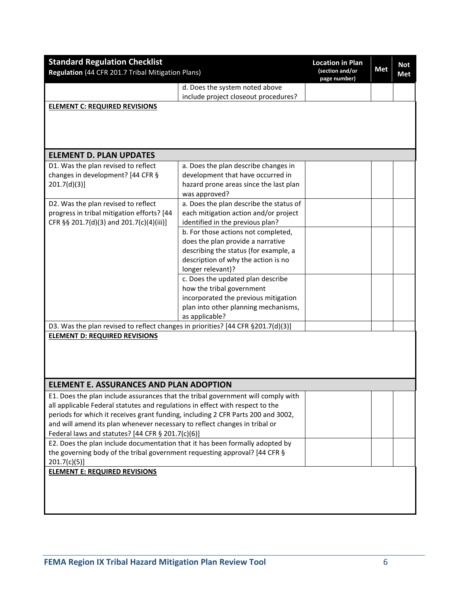| <b>Standard Regulation Checklist</b>                                             |                                         | <b>Location in Plan</b>         |            | <b>Not</b> |
|----------------------------------------------------------------------------------|-----------------------------------------|---------------------------------|------------|------------|
| Regulation (44 CFR 201.7 Tribal Mitigation Plans)                                |                                         | (section and/or<br>page number) | <b>Met</b> | Met        |
|                                                                                  | d. Does the system noted above          |                                 |            |            |
|                                                                                  | include project closeout procedures?    |                                 |            |            |
| <b>ELEMENT C: REQUIRED REVISIONS</b>                                             |                                         |                                 |            |            |
|                                                                                  |                                         |                                 |            |            |
|                                                                                  |                                         |                                 |            |            |
|                                                                                  |                                         |                                 |            |            |
| <b>ELEMENT D. PLAN UPDATES</b>                                                   |                                         |                                 |            |            |
| D1. Was the plan revised to reflect                                              | a. Does the plan describe changes in    |                                 |            |            |
| changes in development? [44 CFR §                                                | development that have occurred in       |                                 |            |            |
| 201.7(d)(3)]                                                                     | hazard prone areas since the last plan  |                                 |            |            |
|                                                                                  | was approved?                           |                                 |            |            |
| D2. Was the plan revised to reflect                                              | a. Does the plan describe the status of |                                 |            |            |
| progress in tribal mitigation efforts? [44                                       | each mitigation action and/or project   |                                 |            |            |
| CFR §§ 201.7(d)(3) and 201.7(c)(4)(iii)]                                         | identified in the previous plan?        |                                 |            |            |
|                                                                                  | b. For those actions not completed,     |                                 |            |            |
|                                                                                  | does the plan provide a narrative       |                                 |            |            |
|                                                                                  | describing the status (for example, a   |                                 |            |            |
|                                                                                  | description of why the action is no     |                                 |            |            |
|                                                                                  | longer relevant)?                       |                                 |            |            |
|                                                                                  | c. Does the updated plan describe       |                                 |            |            |
|                                                                                  | how the tribal government               |                                 |            |            |
|                                                                                  | incorporated the previous mitigation    |                                 |            |            |
|                                                                                  | plan into other planning mechanisms,    |                                 |            |            |
|                                                                                  | as applicable?                          |                                 |            |            |
| D3. Was the plan revised to reflect changes in priorities? [44 CFR §201.7(d)(3)] |                                         |                                 |            |            |
| <b>ELEMENT D: REQUIRED REVISIONS</b>                                             |                                         |                                 |            |            |
|                                                                                  |                                         |                                 |            |            |
|                                                                                  |                                         |                                 |            |            |
|                                                                                  |                                         |                                 |            |            |
|                                                                                  |                                         |                                 |            |            |
| <b>ELEMENT E. ASSURANCES AND PLAN ADOPTION</b>                                   |                                         |                                 |            |            |
| E1. Does the plan include assurances that the tribal government will comply with |                                         |                                 |            |            |
| all applicable Federal statutes and regulations in effect with respect to the    |                                         |                                 |            |            |
| periods for which it receives grant funding, including 2 CFR Parts 200 and 3002, |                                         |                                 |            |            |
| and will amend its plan whenever necessary to reflect changes in tribal or       |                                         |                                 |            |            |
| Federal laws and statutes? [44 CFR § 201.7(c)(6)]                                |                                         |                                 |            |            |
| E2. Does the plan include documentation that it has been formally adopted by     |                                         |                                 |            |            |
| the governing body of the tribal government requesting approval? [44 CFR §       |                                         |                                 |            |            |
| 201.7(c)(5)]                                                                     |                                         |                                 |            |            |
| <b>ELEMENT E: REQUIRED REVISIONS</b>                                             |                                         |                                 |            |            |
|                                                                                  |                                         |                                 |            |            |
|                                                                                  |                                         |                                 |            |            |
|                                                                                  |                                         |                                 |            |            |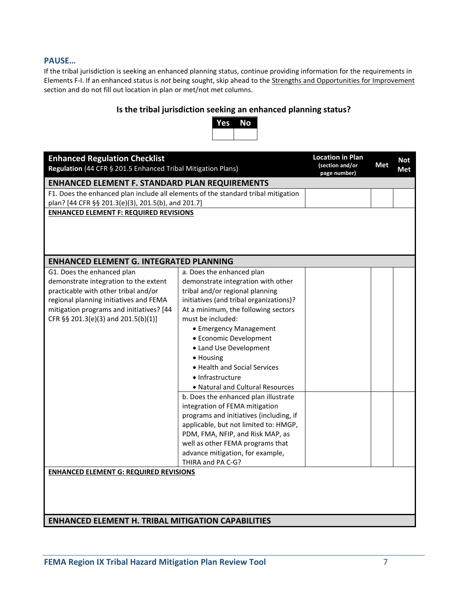#### **PAUSE…**

If the tribal jurisdiction is seeking an enhanced planning status, continue providing information for the requirements in Elements F-I. If an enhanced status is *not* being sought, skip ahead to the Strengths and Opportunities for Improvement section and do not fill out location in plan or met/not met columns.

### **Is the tribal jurisdiction seeking an enhanced planning status?**



| <b>Enhanced Regulation Checklist</b><br>Regulation (44 CFR § 201.5 Enhanced Tribal Mitigation Plans) |                                         | <b>Location in Plan</b><br>(section and/or<br>page number) | <b>Met</b> | <b>Not</b><br><b>Met</b> |
|------------------------------------------------------------------------------------------------------|-----------------------------------------|------------------------------------------------------------|------------|--------------------------|
| <b>ENHANCED ELEMENT F. STANDARD PLAN REQUIREMENTS</b>                                                |                                         |                                                            |            |                          |
| F1. Does the enhanced plan include all elements of the standard tribal mitigation                    |                                         |                                                            |            |                          |
| plan? [44 CFR §§ 201.3(e)(3), 201.5(b), and 201.7]                                                   |                                         |                                                            |            |                          |
| <b>ENHANCED ELEMENT F: REQUIRED REVISIONS</b>                                                        |                                         |                                                            |            |                          |
|                                                                                                      |                                         |                                                            |            |                          |
|                                                                                                      |                                         |                                                            |            |                          |
|                                                                                                      |                                         |                                                            |            |                          |
| <b>ENHANCED ELEMENT G. INTEGRATED PLANNING</b>                                                       |                                         |                                                            |            |                          |
| G1. Does the enhanced plan                                                                           | a. Does the enhanced plan               |                                                            |            |                          |
| demonstrate integration to the extent                                                                | demonstrate integration with other      |                                                            |            |                          |
| practicable with other tribal and/or                                                                 | tribal and/or regional planning         |                                                            |            |                          |
| regional planning initiatives and FEMA                                                               | initiatives (and tribal organizations)? |                                                            |            |                          |
| mitigation programs and initiatives? [44                                                             | At a minimum, the following sectors     |                                                            |            |                          |
| CFR §§ 201.3(e)(3) and 201.5(b)(1)]                                                                  | must be included:                       |                                                            |            |                          |
|                                                                                                      | • Emergency Management                  |                                                            |            |                          |
|                                                                                                      | • Economic Development                  |                                                            |            |                          |
|                                                                                                      | • Land Use Development                  |                                                            |            |                          |
|                                                                                                      | · Housing                               |                                                            |            |                          |
|                                                                                                      | • Health and Social Services            |                                                            |            |                          |
|                                                                                                      | • Infrastructure                        |                                                            |            |                          |
|                                                                                                      | • Natural and Cultural Resources        |                                                            |            |                          |
|                                                                                                      | b. Does the enhanced plan illustrate    |                                                            |            |                          |
|                                                                                                      | integration of FEMA mitigation          |                                                            |            |                          |
|                                                                                                      | programs and initiatives (including, if |                                                            |            |                          |
|                                                                                                      | applicable, but not limited to: HMGP,   |                                                            |            |                          |
|                                                                                                      | PDM, FMA, NFIP, and Risk MAP, as        |                                                            |            |                          |
|                                                                                                      | well as other FEMA programs that        |                                                            |            |                          |
|                                                                                                      | advance mitigation, for example,        |                                                            |            |                          |
|                                                                                                      | THIRA and PA C-G?                       |                                                            |            |                          |
| <b>ENHANCED ELEMENT G: REQUIRED REVISIONS</b>                                                        |                                         |                                                            |            |                          |
|                                                                                                      |                                         |                                                            |            |                          |
|                                                                                                      |                                         |                                                            |            |                          |
|                                                                                                      |                                         |                                                            |            |                          |
|                                                                                                      |                                         |                                                            |            |                          |
| <b>ENHANCED ELEMENT H. TRIBAL MITIGATION CAPABILITIES</b>                                            |                                         |                                                            |            |                          |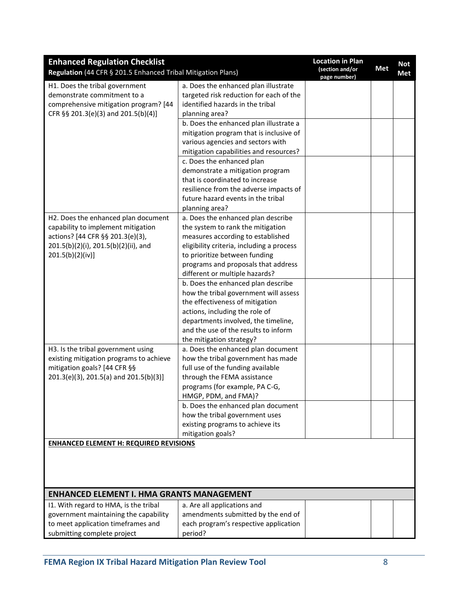| <b>Enhanced Regulation Checklist</b><br>Regulation (44 CFR § 201.5 Enhanced Tribal Mitigation Plans)                                          |                                                                                                                                       | <b>Location in Plan</b><br>(section and/or<br>page number) | <b>Met</b> | <b>Not</b><br><b>Met</b> |
|-----------------------------------------------------------------------------------------------------------------------------------------------|---------------------------------------------------------------------------------------------------------------------------------------|------------------------------------------------------------|------------|--------------------------|
| H1. Does the tribal government<br>demonstrate commitment to a<br>comprehensive mitigation program? [44<br>CFR §§ 201.3(e)(3) and 201.5(b)(4)] | a. Does the enhanced plan illustrate<br>targeted risk reduction for each of the<br>identified hazards in the tribal<br>planning area? |                                                            |            |                          |
|                                                                                                                                               | b. Does the enhanced plan illustrate a                                                                                                |                                                            |            |                          |
|                                                                                                                                               | mitigation program that is inclusive of                                                                                               |                                                            |            |                          |
|                                                                                                                                               | various agencies and sectors with                                                                                                     |                                                            |            |                          |
|                                                                                                                                               | mitigation capabilities and resources?<br>c. Does the enhanced plan                                                                   |                                                            |            |                          |
|                                                                                                                                               | demonstrate a mitigation program                                                                                                      |                                                            |            |                          |
|                                                                                                                                               | that is coordinated to increase                                                                                                       |                                                            |            |                          |
|                                                                                                                                               | resilience from the adverse impacts of                                                                                                |                                                            |            |                          |
|                                                                                                                                               | future hazard events in the tribal                                                                                                    |                                                            |            |                          |
|                                                                                                                                               | planning area?                                                                                                                        |                                                            |            |                          |
| H2. Does the enhanced plan document                                                                                                           | a. Does the enhanced plan describe                                                                                                    |                                                            |            |                          |
| capability to implement mitigation<br>actions? [44 CFR §§ 201.3(e)(3),                                                                        | the system to rank the mitigation<br>measures according to established                                                                |                                                            |            |                          |
| 201.5(b)(2)(i), 201.5(b)(2)(ii), and                                                                                                          | eligibility criteria, including a process                                                                                             |                                                            |            |                          |
| 201.5(b)(2)(iv)]                                                                                                                              | to prioritize between funding                                                                                                         |                                                            |            |                          |
|                                                                                                                                               | programs and proposals that address                                                                                                   |                                                            |            |                          |
|                                                                                                                                               | different or multiple hazards?                                                                                                        |                                                            |            |                          |
|                                                                                                                                               | b. Does the enhanced plan describe                                                                                                    |                                                            |            |                          |
|                                                                                                                                               | how the tribal government will assess                                                                                                 |                                                            |            |                          |
|                                                                                                                                               | the effectiveness of mitigation                                                                                                       |                                                            |            |                          |
|                                                                                                                                               | actions, including the role of<br>departments involved, the timeline,                                                                 |                                                            |            |                          |
|                                                                                                                                               | and the use of the results to inform                                                                                                  |                                                            |            |                          |
|                                                                                                                                               | the mitigation strategy?                                                                                                              |                                                            |            |                          |
| H3. Is the tribal government using                                                                                                            | a. Does the enhanced plan document                                                                                                    |                                                            |            |                          |
| existing mitigation programs to achieve                                                                                                       | how the tribal government has made                                                                                                    |                                                            |            |                          |
| mitigation goals? [44 CFR §§                                                                                                                  | full use of the funding available                                                                                                     |                                                            |            |                          |
| 201.3(e)(3), 201.5(a) and 201.5(b)(3)]                                                                                                        | through the FEMA assistance                                                                                                           |                                                            |            |                          |
|                                                                                                                                               | programs (for example, PA C-G,                                                                                                        |                                                            |            |                          |
|                                                                                                                                               | HMGP, PDM, and FMA)?                                                                                                                  |                                                            |            |                          |
|                                                                                                                                               | b. Does the enhanced plan document<br>how the tribal government uses                                                                  |                                                            |            |                          |
|                                                                                                                                               | existing programs to achieve its                                                                                                      |                                                            |            |                          |
|                                                                                                                                               | mitigation goals?                                                                                                                     |                                                            |            |                          |
| <b>ENHANCED ELEMENT H: REQUIRED REVISIONS</b>                                                                                                 |                                                                                                                                       |                                                            |            |                          |
|                                                                                                                                               |                                                                                                                                       |                                                            |            |                          |
|                                                                                                                                               |                                                                                                                                       |                                                            |            |                          |
|                                                                                                                                               |                                                                                                                                       |                                                            |            |                          |
| <b>ENHANCED ELEMENT I. HMA GRANTS MANAGEMENT</b>                                                                                              |                                                                                                                                       |                                                            |            |                          |
| I1. With regard to HMA, is the tribal                                                                                                         | a. Are all applications and                                                                                                           |                                                            |            |                          |
| government maintaining the capability                                                                                                         | amendments submitted by the end of                                                                                                    |                                                            |            |                          |
| to meet application timeframes and                                                                                                            | each program's respective application                                                                                                 |                                                            |            |                          |
| submitting complete project                                                                                                                   | period?                                                                                                                               |                                                            |            |                          |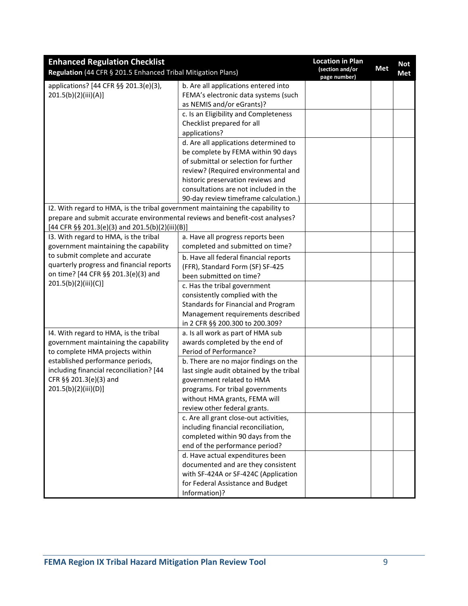| <b>Enhanced Regulation Checklist</b><br>Regulation (44 CFR § 201.5 Enhanced Tribal Mitigation Plans) |                                                                                                           | <b>Location in Plan</b><br>(section and/or<br>page number) | <b>Met</b> | <b>Not</b><br>Met |
|------------------------------------------------------------------------------------------------------|-----------------------------------------------------------------------------------------------------------|------------------------------------------------------------|------------|-------------------|
| applications? [44 CFR §§ 201.3(e)(3),<br>201.5(b)(2)(iii)(A)]                                        | b. Are all applications entered into<br>FEMA's electronic data systems (such<br>as NEMIS and/or eGrants)? |                                                            |            |                   |
|                                                                                                      | c. Is an Eligibility and Completeness<br>Checklist prepared for all<br>applications?                      |                                                            |            |                   |
|                                                                                                      | d. Are all applications determined to                                                                     |                                                            |            |                   |
|                                                                                                      | be complete by FEMA within 90 days                                                                        |                                                            |            |                   |
|                                                                                                      | of submittal or selection for further                                                                     |                                                            |            |                   |
|                                                                                                      | review? (Required environmental and                                                                       |                                                            |            |                   |
|                                                                                                      | historic preservation reviews and                                                                         |                                                            |            |                   |
|                                                                                                      | consultations are not included in the                                                                     |                                                            |            |                   |
|                                                                                                      | 90-day review timeframe calculation.)                                                                     |                                                            |            |                   |
| I2. With regard to HMA, is the tribal government maintaining the capability to                       |                                                                                                           |                                                            |            |                   |
| prepare and submit accurate environmental reviews and benefit-cost analyses?                         |                                                                                                           |                                                            |            |                   |
| [44 CFR §§ 201.3(e)(3) and 201.5(b)(2)(iii)(B)]<br>13. With regard to HMA, is the tribal             | a. Have all progress reports been                                                                         |                                                            |            |                   |
| government maintaining the capability                                                                | completed and submitted on time?                                                                          |                                                            |            |                   |
| to submit complete and accurate                                                                      |                                                                                                           |                                                            |            |                   |
| quarterly progress and financial reports                                                             | b. Have all federal financial reports<br>(FFR), Standard Form (SF) SF-425                                 |                                                            |            |                   |
| on time? [44 CFR §§ 201.3(e)(3) and                                                                  | been submitted on time?                                                                                   |                                                            |            |                   |
| 201.5(b)(2)(iii)(C)]                                                                                 | c. Has the tribal government                                                                              |                                                            |            |                   |
|                                                                                                      | consistently complied with the                                                                            |                                                            |            |                   |
|                                                                                                      | Standards for Financial and Program                                                                       |                                                            |            |                   |
|                                                                                                      | Management requirements described                                                                         |                                                            |            |                   |
|                                                                                                      | in 2 CFR §§ 200.300 to 200.309?                                                                           |                                                            |            |                   |
| 14. With regard to HMA, is the tribal                                                                | a. Is all work as part of HMA sub                                                                         |                                                            |            |                   |
| government maintaining the capability                                                                | awards completed by the end of                                                                            |                                                            |            |                   |
| to complete HMA projects within                                                                      | Period of Performance?                                                                                    |                                                            |            |                   |
| established performance periods,                                                                     | b. There are no major findings on the                                                                     |                                                            |            |                   |
| including financial reconciliation? [44                                                              | last single audit obtained by the tribal                                                                  |                                                            |            |                   |
| CFR §§ 201.3(e)(3) and                                                                               | government related to HMA                                                                                 |                                                            |            |                   |
| 201.5(b)(2)(iii)(D)]                                                                                 | programs. For tribal governments                                                                          |                                                            |            |                   |
|                                                                                                      | without HMA grants, FEMA will<br>review other federal grants.                                             |                                                            |            |                   |
|                                                                                                      | c. Are all grant close-out activities,                                                                    |                                                            |            |                   |
|                                                                                                      | including financial reconciliation,                                                                       |                                                            |            |                   |
|                                                                                                      | completed within 90 days from the                                                                         |                                                            |            |                   |
|                                                                                                      | end of the performance period?                                                                            |                                                            |            |                   |
|                                                                                                      | d. Have actual expenditures been                                                                          |                                                            |            |                   |
|                                                                                                      | documented and are they consistent                                                                        |                                                            |            |                   |
|                                                                                                      | with SF-424A or SF-424C (Application                                                                      |                                                            |            |                   |
|                                                                                                      | for Federal Assistance and Budget                                                                         |                                                            |            |                   |
|                                                                                                      | Information)?                                                                                             |                                                            |            |                   |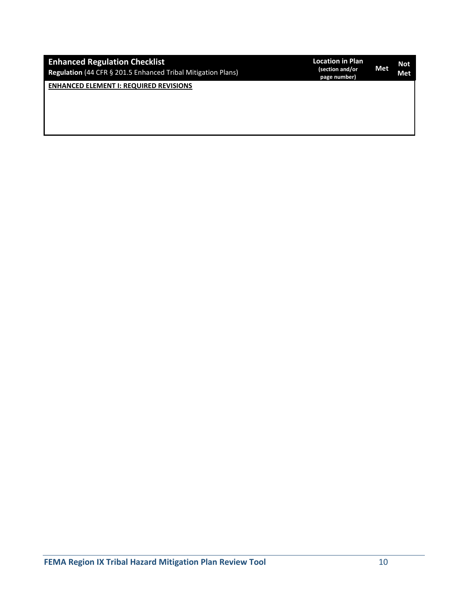| <b>Enhanced Regulation Checklist</b><br>Regulation (44 CFR § 201.5 Enhanced Tribal Mitigation Plans) | <b>Location in Plan</b><br>(section and/or<br>page number) | Met | <b>Not</b><br>Met |
|------------------------------------------------------------------------------------------------------|------------------------------------------------------------|-----|-------------------|
| <b>ENHANCED ELEMENT I: REQUIRED REVISIONS</b>                                                        |                                                            |     |                   |
|                                                                                                      |                                                            |     |                   |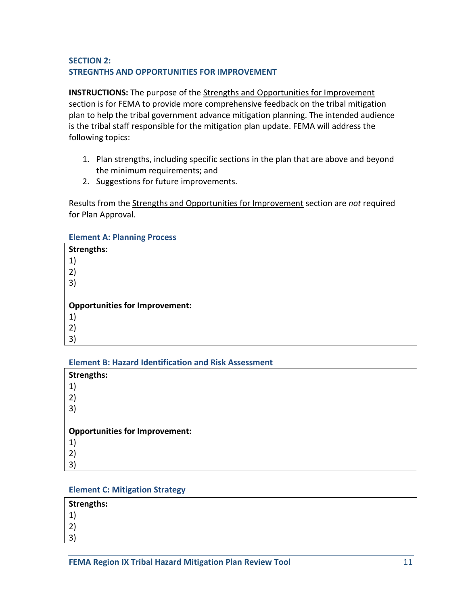## **SECTION 2: STREGNTHS AND OPPORTUNITIES FOR IMPROVEMENT**

**INSTRUCTIONS:** The purpose of the Strengths and Opportunities for Improvement section is for FEMA to provide more comprehensive feedback on the tribal mitigation plan to help the tribal government advance mitigation planning. The intended audience is the tribal staff responsible for the mitigation plan update. FEMA will address the following topics:

- 1. Plan strengths, including specific sections in the plan that are above and beyond the minimum requirements; and
- 2. Suggestions for future improvements.

Results from the Strengths and Opportunities for Improvement section are *not* required for Plan Approval.

#### **Element A: Planning Process**

| <b>Strengths:</b>                     |
|---------------------------------------|
| 1)                                    |
| 2)                                    |
| 3)                                    |
|                                       |
|                                       |
| <b>Opportunities for Improvement:</b> |
| 1)                                    |
| 2)                                    |

#### **Element B: Hazard Identification and Risk Assessment**

| <b>Strengths:</b>                     |
|---------------------------------------|
| 1)                                    |
| 2)                                    |
| 3)                                    |
|                                       |
| <b>Opportunities for Improvement:</b> |
| 1)                                    |
| 2)                                    |
| 3)                                    |

### **Element C: Mitigation Strategy**

#### **Strengths:**

- 1) 2)
- 3)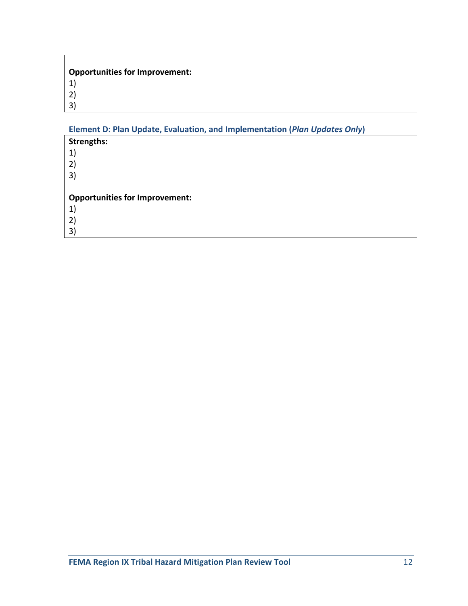| <b>Opportunities for Improvement:</b> |
|---------------------------------------|
| 1)                                    |
| 2)                                    |
| 3)                                    |

# **Element D: Plan Update, Evaluation, and Implementation (***Plan Updates Only***)**

| <b>Strengths:</b>                     |
|---------------------------------------|
| 1)                                    |
| 2)                                    |
| 3)                                    |
|                                       |
|                                       |
| <b>Opportunities for Improvement:</b> |
| 1)                                    |
| 2)                                    |